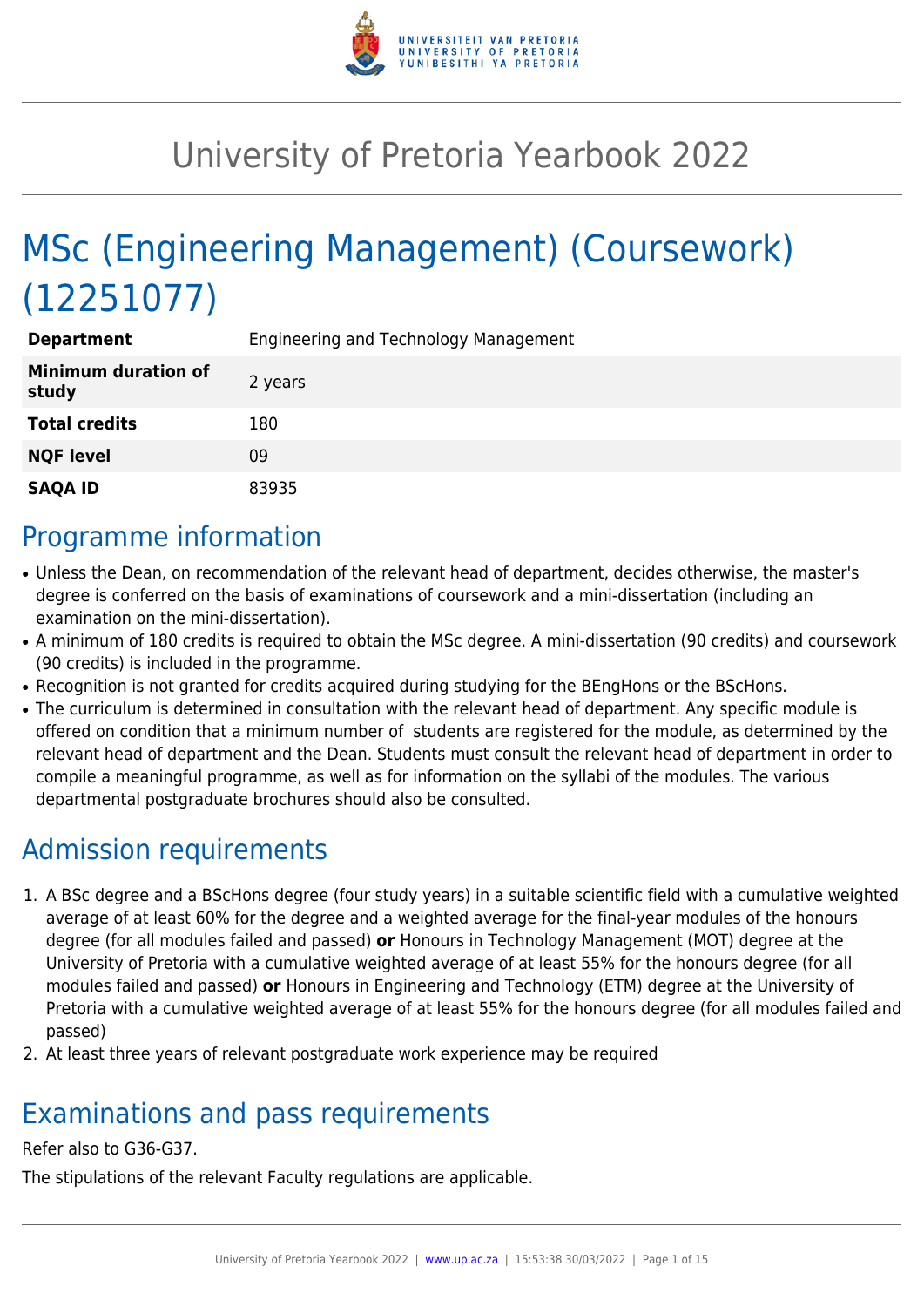

# University of Pretoria Yearbook 2022

# MSc (Engineering Management) (Coursework) (12251077)

| <b>Department</b>                   | Engineering and Technology Management |
|-------------------------------------|---------------------------------------|
| <b>Minimum duration of</b><br>study | 2 years                               |
| <b>Total credits</b>                | 180                                   |
| <b>NQF level</b>                    | 09                                    |
| <b>SAQA ID</b>                      | 83935                                 |

### Programme information

- Unless the Dean, on recommendation of the relevant head of department, decides otherwise, the master's degree is conferred on the basis of examinations of coursework and a mini-dissertation (including an examination on the mini-dissertation).
- A minimum of 180 credits is required to obtain the MSc degree. A mini-dissertation (90 credits) and coursework (90 credits) is included in the programme.
- Recognition is not granted for credits acquired during studying for the BEngHons or the BScHons.
- The curriculum is determined in consultation with the relevant head of department. Any specific module is offered on condition that a minimum number of students are registered for the module, as determined by the relevant head of department and the Dean. Students must consult the relevant head of department in order to compile a meaningful programme, as well as for information on the syllabi of the modules. The various departmental postgraduate brochures should also be consulted.

## Admission requirements

- 1. A BSc degree and a BScHons degree (four study years) in a suitable scientific field with a cumulative weighted average of at least 60% for the degree and a weighted average for the final-year modules of the honours degree (for all modules failed and passed) **or** Honours in Technology Management (MOT) degree at the University of Pretoria with a cumulative weighted average of at least 55% for the honours degree (for all modules failed and passed) **or** Honours in Engineering and Technology (ETM) degree at the University of Pretoria with a cumulative weighted average of at least 55% for the honours degree (for all modules failed and passed)
- 2. At least three years of relevant postgraduate work experience may be required

## Examinations and pass requirements

#### Refer also to G36-G37.

The stipulations of the relevant Faculty regulations are applicable.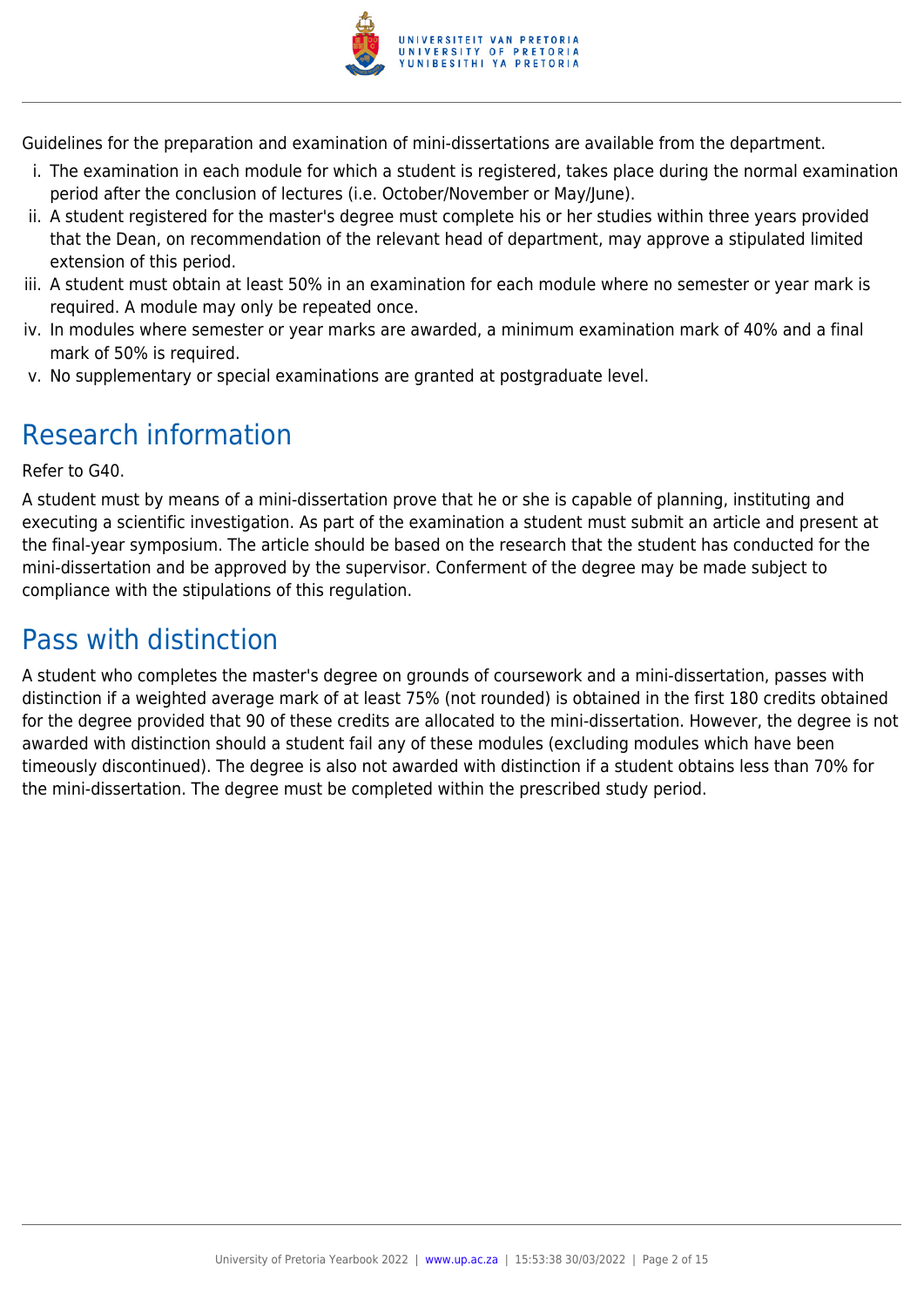

Guidelines for the preparation and examination of mini-dissertations are available from the department.

- i. The examination in each module for which a student is registered, takes place during the normal examination period after the conclusion of lectures (i.e. October/November or May/June).
- ii. A student registered for the master's degree must complete his or her studies within three years provided that the Dean, on recommendation of the relevant head of department, may approve a stipulated limited extension of this period.
- iii. A student must obtain at least 50% in an examination for each module where no semester or year mark is required. A module may only be repeated once.
- iv. In modules where semester or year marks are awarded, a minimum examination mark of 40% and a final mark of 50% is required.
- v. No supplementary or special examinations are granted at postgraduate level.

# Research information

Refer to G40.

A student must by means of a mini-dissertation prove that he or she is capable of planning, instituting and executing a scientific investigation. As part of the examination a student must submit an article and present at the final-year symposium. The article should be based on the research that the student has conducted for the mini-dissertation and be approved by the supervisor. Conferment of the degree may be made subject to compliance with the stipulations of this regulation.

# Pass with distinction

A student who completes the master's degree on grounds of coursework and a mini-dissertation, passes with distinction if a weighted average mark of at least 75% (not rounded) is obtained in the first 180 credits obtained for the degree provided that 90 of these credits are allocated to the mini-dissertation. However, the degree is not awarded with distinction should a student fail any of these modules (excluding modules which have been timeously discontinued). The degree is also not awarded with distinction if a student obtains less than 70% for the mini-dissertation. The degree must be completed within the prescribed study period.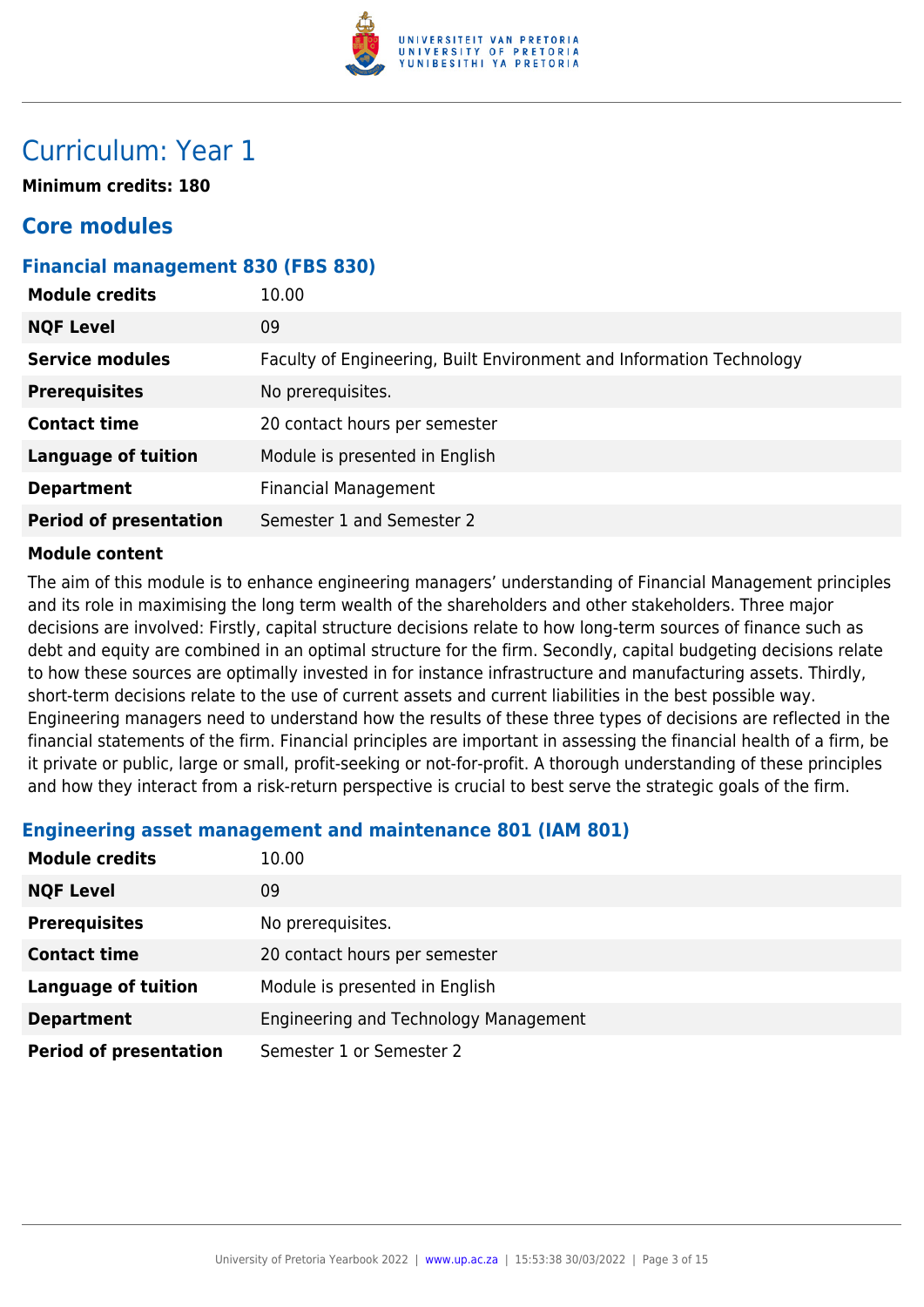

## Curriculum: Year 1

**Minimum credits: 180**

### **Core modules**

#### **Financial management 830 (FBS 830)**

| <b>Module credits</b><br>10.00                             |                                                                      |
|------------------------------------------------------------|----------------------------------------------------------------------|
| <b>NQF Level</b><br>09                                     |                                                                      |
| <b>Service modules</b>                                     | Faculty of Engineering, Built Environment and Information Technology |
| No prerequisites.<br><b>Prerequisites</b>                  |                                                                      |
| <b>Contact time</b>                                        | 20 contact hours per semester                                        |
| <b>Language of tuition</b>                                 | Module is presented in English                                       |
| <b>Financial Management</b><br><b>Department</b>           |                                                                      |
| <b>Period of presentation</b><br>Semester 1 and Semester 2 |                                                                      |

#### **Module content**

The aim of this module is to enhance engineering managers' understanding of Financial Management principles and its role in maximising the long term wealth of the shareholders and other stakeholders. Three major decisions are involved: Firstly, capital structure decisions relate to how long-term sources of finance such as debt and equity are combined in an optimal structure for the firm. Secondly, capital budgeting decisions relate to how these sources are optimally invested in for instance infrastructure and manufacturing assets. Thirdly, short-term decisions relate to the use of current assets and current liabilities in the best possible way. Engineering managers need to understand how the results of these three types of decisions are reflected in the financial statements of the firm. Financial principles are important in assessing the financial health of a firm, be it private or public, large or small, profit-seeking or not-for-profit. A thorough understanding of these principles and how they interact from a risk-return perspective is crucial to best serve the strategic goals of the firm.

#### **Engineering asset management and maintenance 801 (IAM 801)**

| <b>Module credits</b>         | 10.00                                 |
|-------------------------------|---------------------------------------|
| <b>NQF Level</b>              | 09                                    |
| <b>Prerequisites</b>          | No prerequisites.                     |
| <b>Contact time</b>           | 20 contact hours per semester         |
| <b>Language of tuition</b>    | Module is presented in English        |
| <b>Department</b>             | Engineering and Technology Management |
| <b>Period of presentation</b> | Semester 1 or Semester 2              |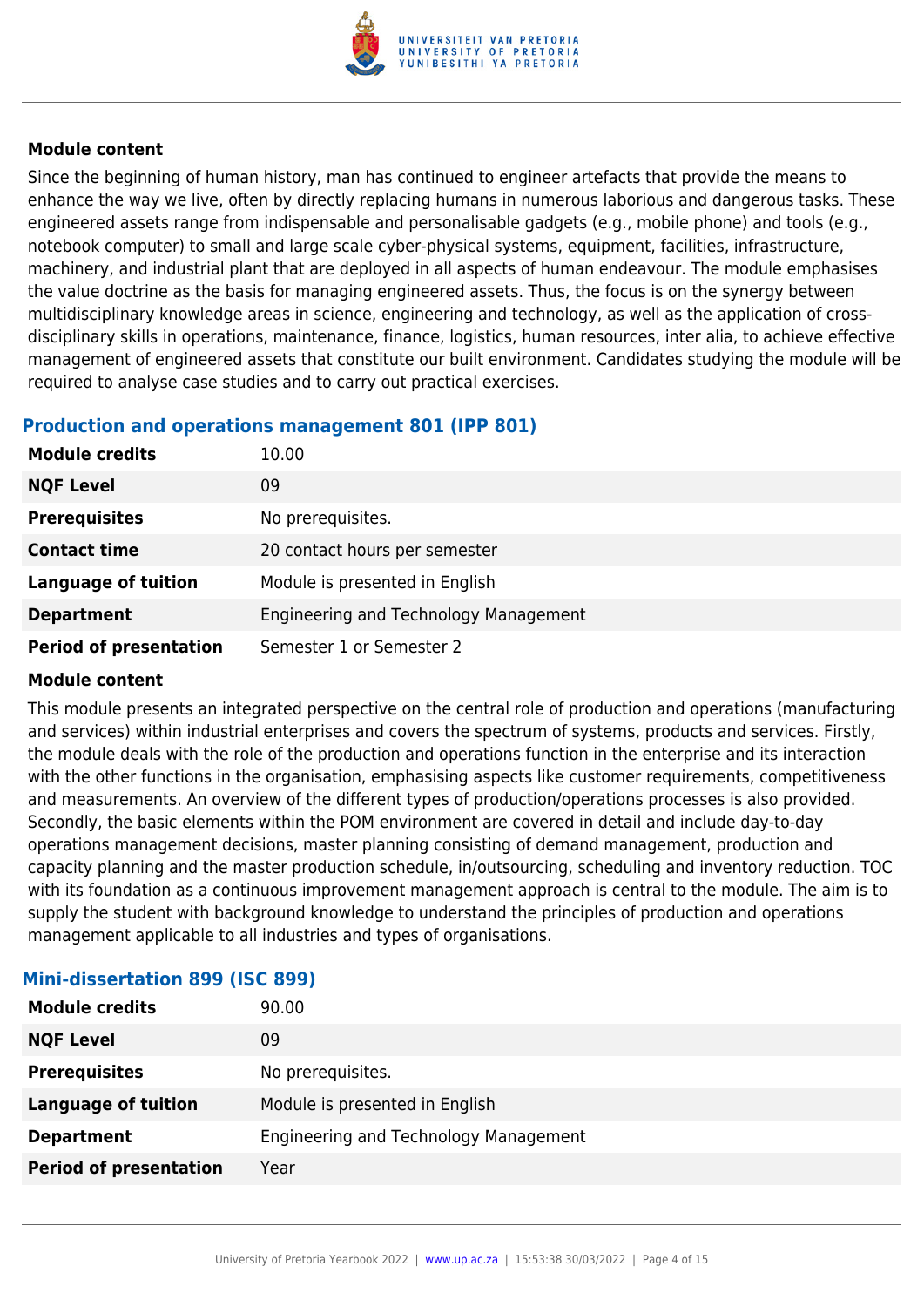

Since the beginning of human history, man has continued to engineer artefacts that provide the means to enhance the way we live, often by directly replacing humans in numerous laborious and dangerous tasks. These engineered assets range from indispensable and personalisable gadgets (e.g., mobile phone) and tools (e.g., notebook computer) to small and large scale cyber-physical systems, equipment, facilities, infrastructure, machinery, and industrial plant that are deployed in all aspects of human endeavour. The module emphasises the value doctrine as the basis for managing engineered assets. Thus, the focus is on the synergy between multidisciplinary knowledge areas in science, engineering and technology, as well as the application of crossdisciplinary skills in operations, maintenance, finance, logistics, human resources, inter alia, to achieve effective management of engineered assets that constitute our built environment. Candidates studying the module will be required to analyse case studies and to carry out practical exercises.

#### **Production and operations management 801 (IPP 801)**

| <b>Module credits</b>         | 10.00                                 |
|-------------------------------|---------------------------------------|
| <b>NQF Level</b>              | 09                                    |
| <b>Prerequisites</b>          | No prerequisites.                     |
| <b>Contact time</b>           | 20 contact hours per semester         |
| <b>Language of tuition</b>    | Module is presented in English        |
| <b>Department</b>             | Engineering and Technology Management |
| <b>Period of presentation</b> | Semester 1 or Semester 2              |

#### **Module content**

This module presents an integrated perspective on the central role of production and operations (manufacturing and services) within industrial enterprises and covers the spectrum of systems, products and services. Firstly, the module deals with the role of the production and operations function in the enterprise and its interaction with the other functions in the organisation, emphasising aspects like customer requirements, competitiveness and measurements. An overview of the different types of production/operations processes is also provided. Secondly, the basic elements within the POM environment are covered in detail and include day-to-day operations management decisions, master planning consisting of demand management, production and capacity planning and the master production schedule, in/outsourcing, scheduling and inventory reduction. TOC with its foundation as a continuous improvement management approach is central to the module. The aim is to supply the student with background knowledge to understand the principles of production and operations management applicable to all industries and types of organisations.

| <b>Module credits</b>         | 90.00                                 |
|-------------------------------|---------------------------------------|
| <b>NQF Level</b>              | 09                                    |
| <b>Prerequisites</b>          | No prerequisites.                     |
| <b>Language of tuition</b>    | Module is presented in English        |
| <b>Department</b>             | Engineering and Technology Management |
| <b>Period of presentation</b> | Year                                  |
|                               |                                       |

#### **Mini-dissertation 899 (ISC 899)**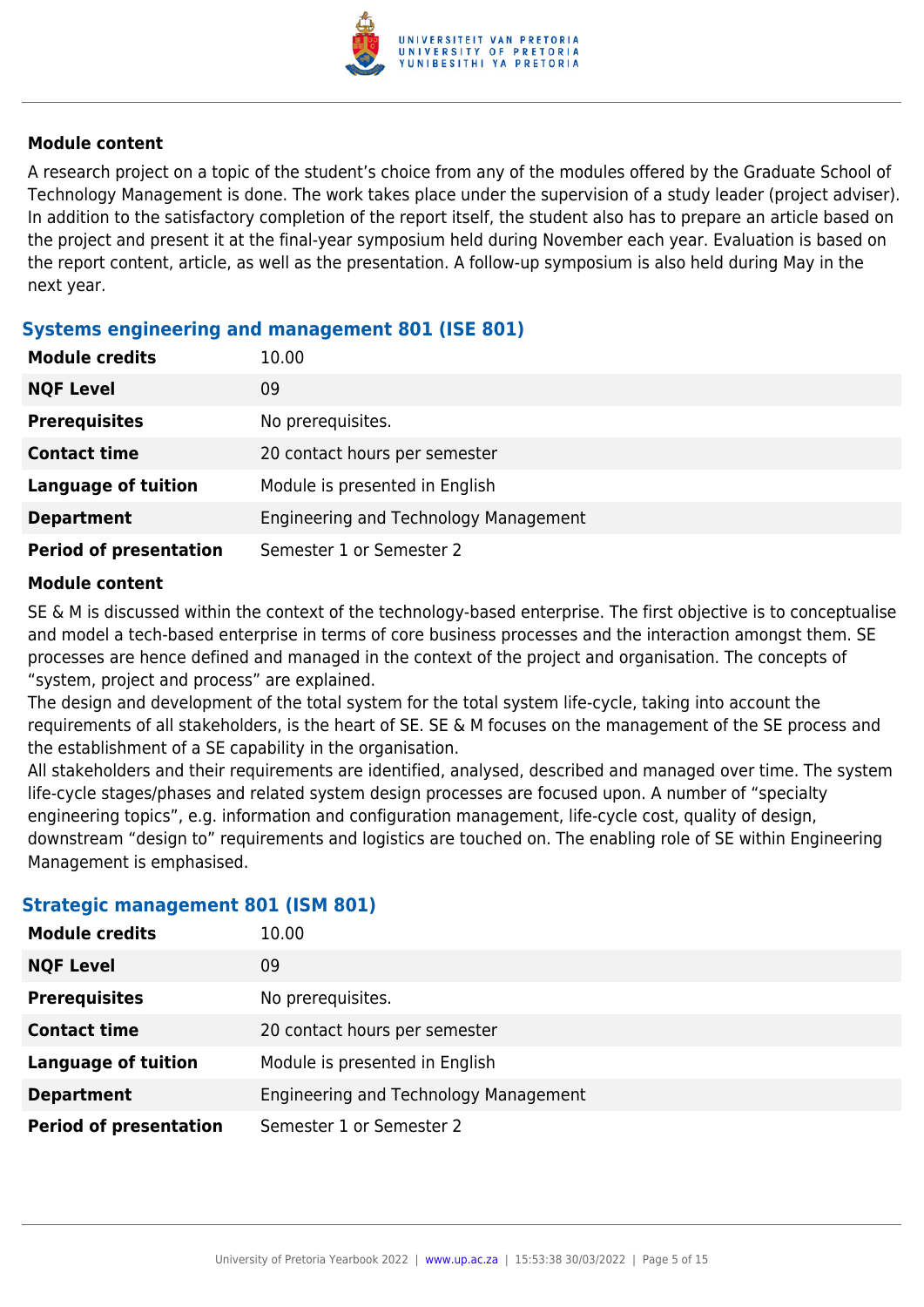

A research project on a topic of the student's choice from any of the modules offered by the Graduate School of Technology Management is done. The work takes place under the supervision of a study leader (project adviser). In addition to the satisfactory completion of the report itself, the student also has to prepare an article based on the project and present it at the final-year symposium held during November each year. Evaluation is based on the report content, article, as well as the presentation. A follow-up symposium is also held during May in the next year.

#### **Systems engineering and management 801 (ISE 801)**

| <b>Module credits</b>         | 10.00                                 |
|-------------------------------|---------------------------------------|
| <b>NQF Level</b>              | 09                                    |
| <b>Prerequisites</b>          | No prerequisites.                     |
| <b>Contact time</b>           | 20 contact hours per semester         |
| <b>Language of tuition</b>    | Module is presented in English        |
| <b>Department</b>             | Engineering and Technology Management |
| <b>Period of presentation</b> | Semester 1 or Semester 2              |

#### **Module content**

SE & M is discussed within the context of the technology-based enterprise. The first objective is to conceptualise and model a tech-based enterprise in terms of core business processes and the interaction amongst them. SE processes are hence defined and managed in the context of the project and organisation. The concepts of "system, project and process" are explained.

The design and development of the total system for the total system life-cycle, taking into account the requirements of all stakeholders, is the heart of SE. SE & M focuses on the management of the SE process and the establishment of a SE capability in the organisation.

All stakeholders and their requirements are identified, analysed, described and managed over time. The system life-cycle stages/phases and related system design processes are focused upon. A number of "specialty engineering topics", e.g. information and configuration management, life-cycle cost, quality of design, downstream "design to" requirements and logistics are touched on. The enabling role of SE within Engineering Management is emphasised.

#### **Strategic management 801 (ISM 801)**

| <b>Module credits</b>         | 10.00                                 |
|-------------------------------|---------------------------------------|
| <b>NQF Level</b>              | 09                                    |
| <b>Prerequisites</b>          | No prerequisites.                     |
| <b>Contact time</b>           | 20 contact hours per semester         |
| <b>Language of tuition</b>    | Module is presented in English        |
| <b>Department</b>             | Engineering and Technology Management |
| <b>Period of presentation</b> | Semester 1 or Semester 2              |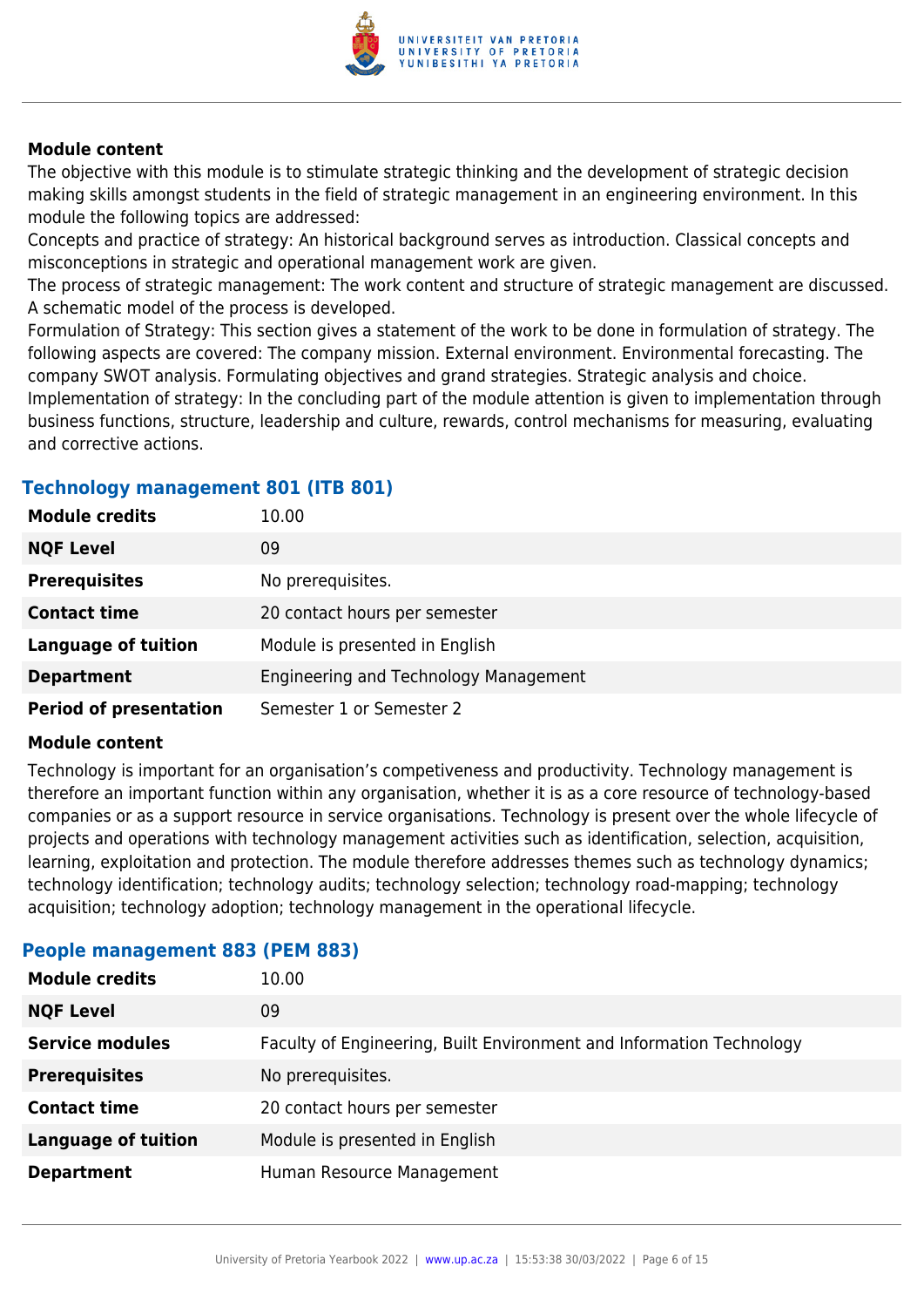

The objective with this module is to stimulate strategic thinking and the development of strategic decision making skills amongst students in the field of strategic management in an engineering environment. In this module the following topics are addressed:

Concepts and practice of strategy: An historical background serves as introduction. Classical concepts and misconceptions in strategic and operational management work are given.

The process of strategic management: The work content and structure of strategic management are discussed. A schematic model of the process is developed.

Formulation of Strategy: This section gives a statement of the work to be done in formulation of strategy. The following aspects are covered: The company mission. External environment. Environmental forecasting. The company SWOT analysis. Formulating objectives and grand strategies. Strategic analysis and choice. Implementation of strategy: In the concluding part of the module attention is given to implementation through business functions, structure, leadership and culture, rewards, control mechanisms for measuring, evaluating and corrective actions.

#### **Technology management 801 (ITB 801)**

| <b>Module credits</b>         | 10.00                                 |
|-------------------------------|---------------------------------------|
| <b>NQF Level</b>              | 09                                    |
| <b>Prerequisites</b>          | No prerequisites.                     |
| <b>Contact time</b>           | 20 contact hours per semester         |
| <b>Language of tuition</b>    | Module is presented in English        |
| <b>Department</b>             | Engineering and Technology Management |
| <b>Period of presentation</b> | Semester 1 or Semester 2              |

#### **Module content**

Technology is important for an organisation's competiveness and productivity. Technology management is therefore an important function within any organisation, whether it is as a core resource of technology-based companies or as a support resource in service organisations. Technology is present over the whole lifecycle of projects and operations with technology management activities such as identification, selection, acquisition, learning, exploitation and protection. The module therefore addresses themes such as technology dynamics; technology identification; technology audits; technology selection; technology road-mapping; technology acquisition; technology adoption; technology management in the operational lifecycle.

| <u>. septemanagement ess (. 2. . sep</u> |                                                                      |
|------------------------------------------|----------------------------------------------------------------------|
| <b>Module credits</b>                    | 10.00                                                                |
| <b>NQF Level</b>                         | 09                                                                   |
| <b>Service modules</b>                   | Faculty of Engineering, Built Environment and Information Technology |
| <b>Prerequisites</b>                     | No prerequisites.                                                    |
| <b>Contact time</b>                      | 20 contact hours per semester                                        |
| <b>Language of tuition</b>               | Module is presented in English                                       |
| <b>Department</b>                        | Human Resource Management                                            |
|                                          |                                                                      |

#### **People management 883 (PEM 883)**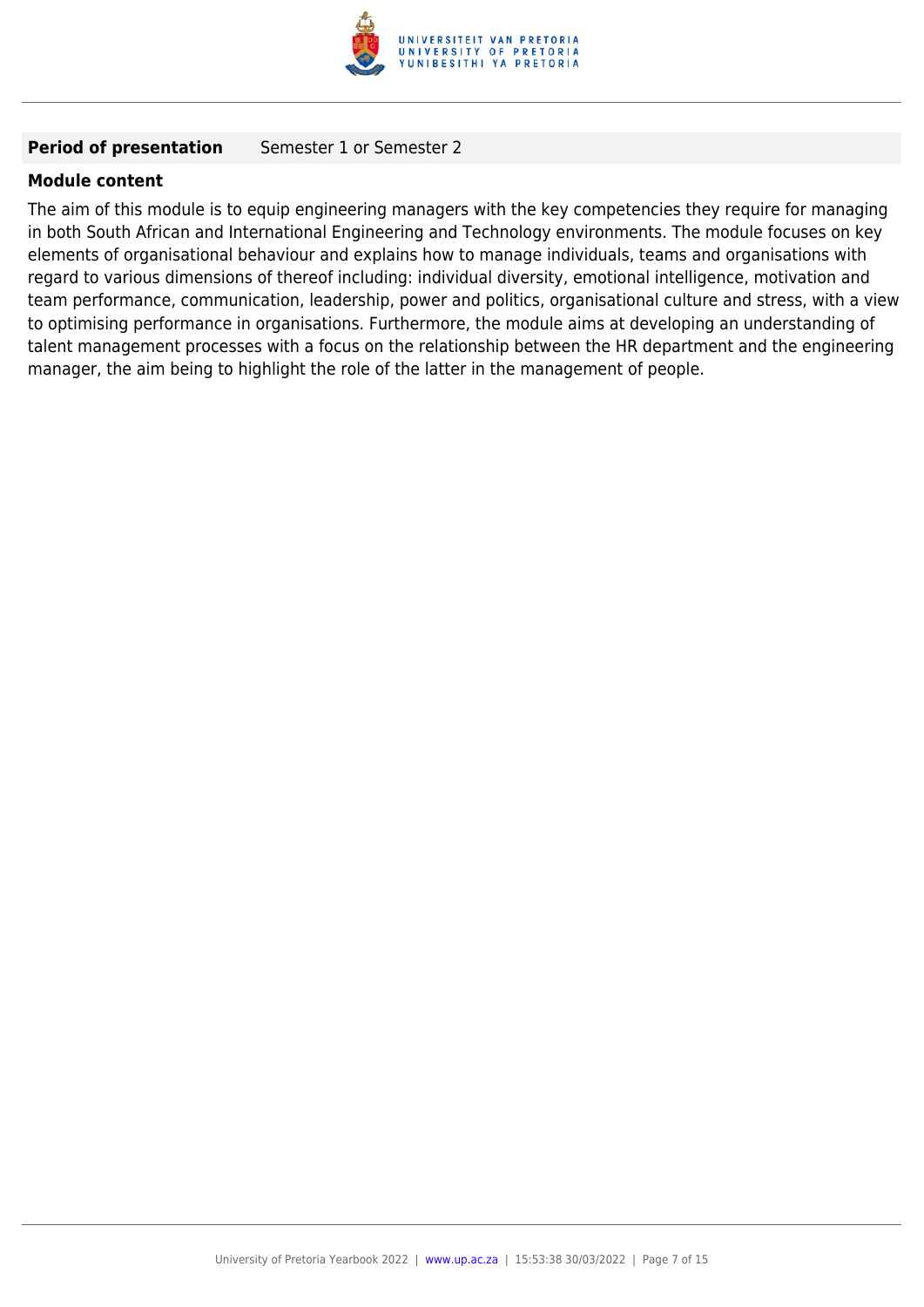

#### **Period of presentation** Semester 1 or Semester 2

#### **Module content**

The aim of this module is to equip engineering managers with the key competencies they require for managing in both South African and International Engineering and Technology environments. The module focuses on key elements of organisational behaviour and explains how to manage individuals, teams and organisations with regard to various dimensions of thereof including: individual diversity, emotional intelligence, motivation and team performance, communication, leadership, power and politics, organisational culture and stress, with a view to optimising performance in organisations. Furthermore, the module aims at developing an understanding of talent management processes with a focus on the relationship between the HR department and the engineering manager, the aim being to highlight the role of the latter in the management of people.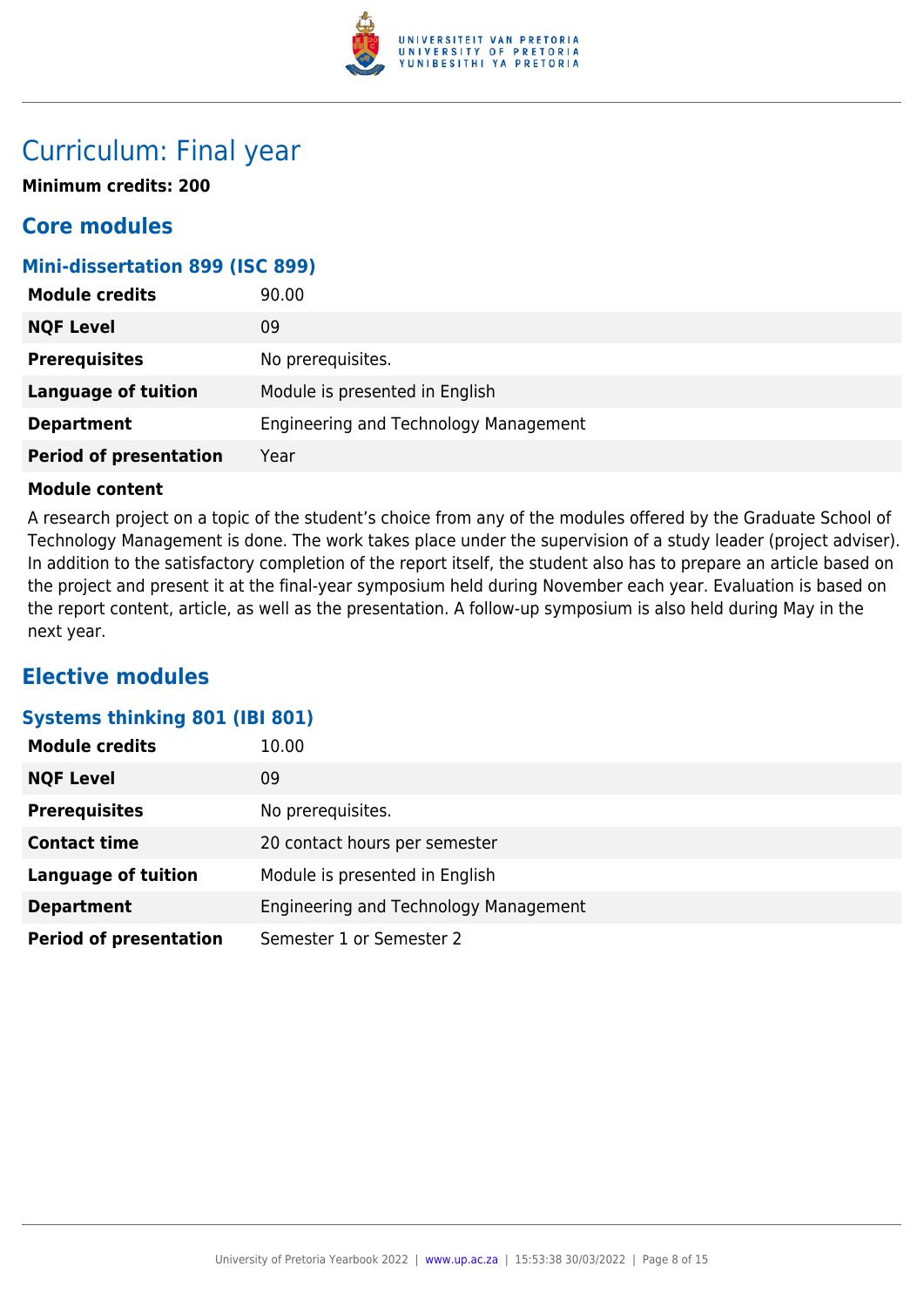

### Curriculum: Final year

**Minimum credits: 200**

### **Core modules**

#### **Mini-dissertation 899 (ISC 899)**

| <b>Module credits</b>         | 90.00                                 |
|-------------------------------|---------------------------------------|
| <b>NQF Level</b>              | 09                                    |
| <b>Prerequisites</b>          | No prerequisites.                     |
| <b>Language of tuition</b>    | Module is presented in English        |
| <b>Department</b>             | Engineering and Technology Management |
| <b>Period of presentation</b> | Year                                  |

#### **Module content**

A research project on a topic of the student's choice from any of the modules offered by the Graduate School of Technology Management is done. The work takes place under the supervision of a study leader (project adviser). In addition to the satisfactory completion of the report itself, the student also has to prepare an article based on the project and present it at the final-year symposium held during November each year. Evaluation is based on the report content, article, as well as the presentation. A follow-up symposium is also held during May in the next year.

### **Elective modules**

#### **Systems thinking 801 (IBI 801)**

| <b>Module credits</b>         | 10.00                                 |
|-------------------------------|---------------------------------------|
| <b>NQF Level</b>              | 09                                    |
| <b>Prerequisites</b>          | No prerequisites.                     |
| <b>Contact time</b>           | 20 contact hours per semester         |
| <b>Language of tuition</b>    | Module is presented in English        |
| <b>Department</b>             | Engineering and Technology Management |
| <b>Period of presentation</b> | Semester 1 or Semester 2              |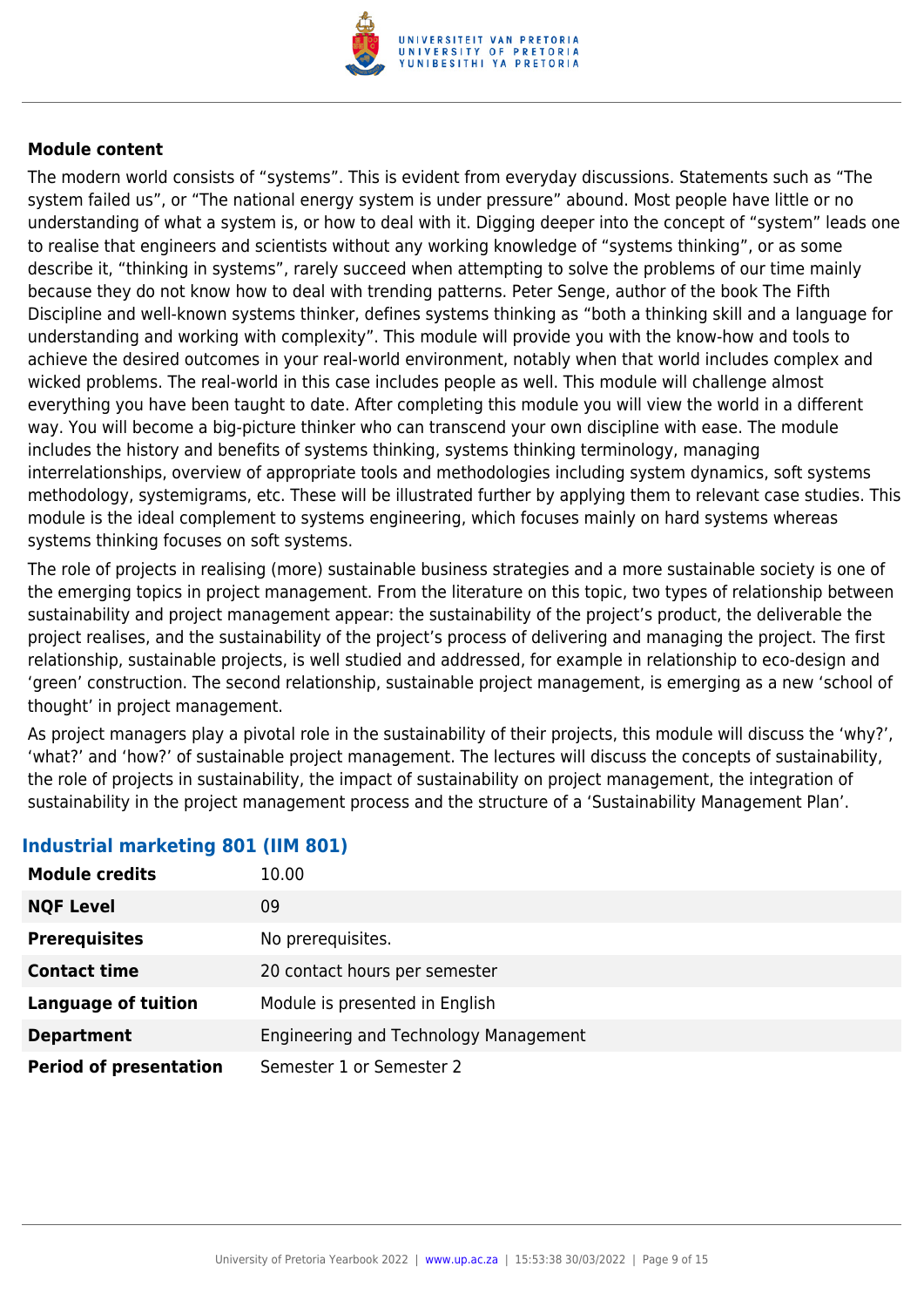

The modern world consists of "systems". This is evident from everyday discussions. Statements such as "The system failed us", or "The national energy system is under pressure" abound. Most people have little or no understanding of what a system is, or how to deal with it. Digging deeper into the concept of "system" leads one to realise that engineers and scientists without any working knowledge of "systems thinking", or as some describe it, "thinking in systems", rarely succeed when attempting to solve the problems of our time mainly because they do not know how to deal with trending patterns. Peter Senge, author of the book The Fifth Discipline and well-known systems thinker, defines systems thinking as "both a thinking skill and a language for understanding and working with complexity". This module will provide you with the know-how and tools to achieve the desired outcomes in your real-world environment, notably when that world includes complex and wicked problems. The real-world in this case includes people as well. This module will challenge almost everything you have been taught to date. After completing this module you will view the world in a different way. You will become a big-picture thinker who can transcend your own discipline with ease. The module includes the history and benefits of systems thinking, systems thinking terminology, managing interrelationships, overview of appropriate tools and methodologies including system dynamics, soft systems methodology, systemigrams, etc. These will be illustrated further by applying them to relevant case studies. This module is the ideal complement to systems engineering, which focuses mainly on hard systems whereas systems thinking focuses on soft systems.

The role of projects in realising (more) sustainable business strategies and a more sustainable society is one of the emerging topics in project management. From the literature on this topic, two types of relationship between sustainability and project management appear: the sustainability of the project's product, the deliverable the project realises, and the sustainability of the project's process of delivering and managing the project. The first relationship, sustainable projects, is well studied and addressed, for example in relationship to eco-design and 'green' construction. The second relationship, sustainable project management, is emerging as a new 'school of thought' in project management.

As project managers play a pivotal role in the sustainability of their projects, this module will discuss the 'why?', 'what?' and 'how?' of sustainable project management. The lectures will discuss the concepts of sustainability, the role of projects in sustainability, the impact of sustainability on project management, the integration of sustainability in the project management process and the structure of a 'Sustainability Management Plan'.

| <b>Module credits</b>         | 10.00                                 |
|-------------------------------|---------------------------------------|
| <b>NQF Level</b>              | 09                                    |
| <b>Prerequisites</b>          | No prerequisites.                     |
| <b>Contact time</b>           | 20 contact hours per semester         |
| <b>Language of tuition</b>    | Module is presented in English        |
| <b>Department</b>             | Engineering and Technology Management |
| <b>Period of presentation</b> | Semester 1 or Semester 2              |

#### **Industrial marketing 801 (IIM 801)**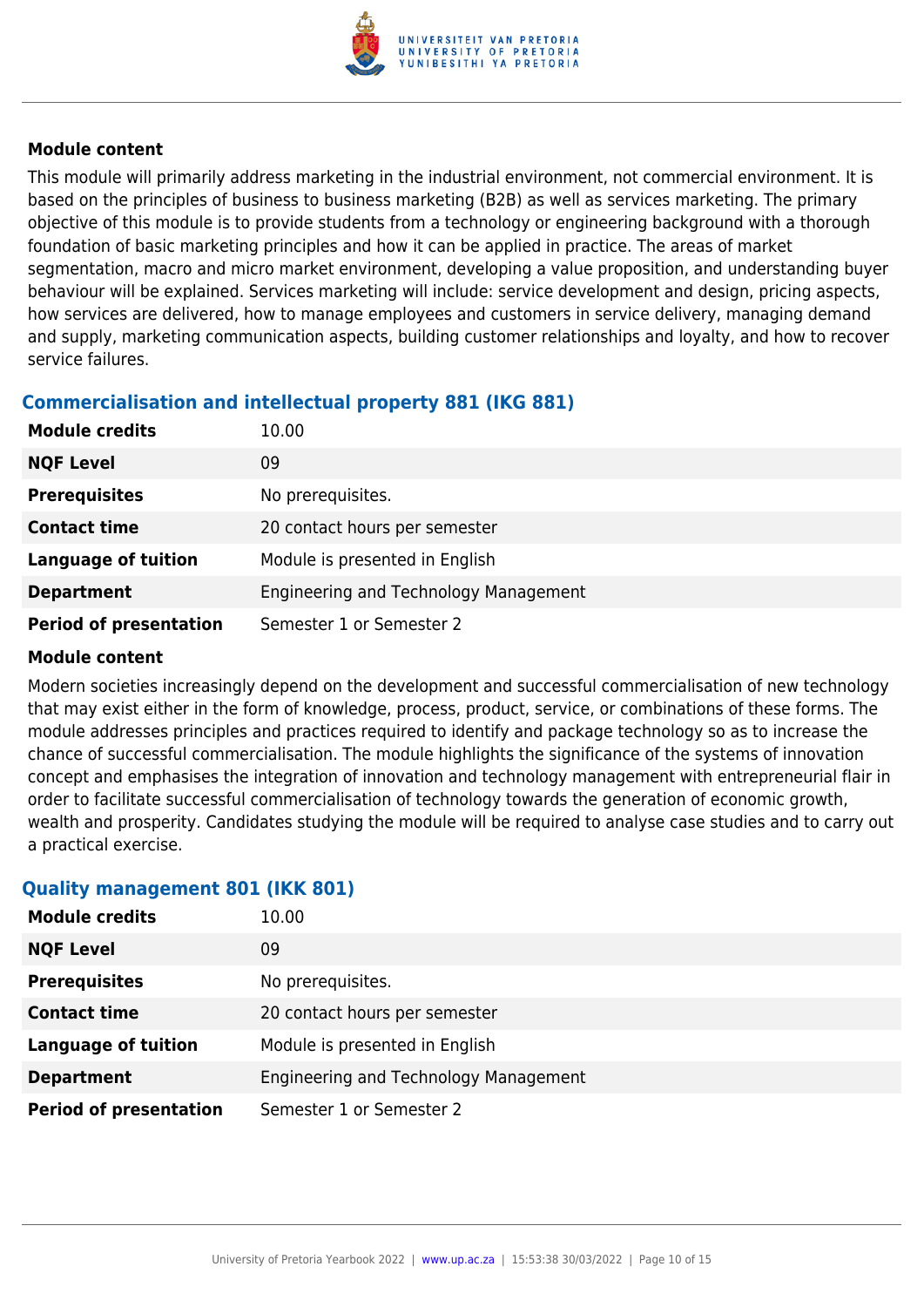

This module will primarily address marketing in the industrial environment, not commercial environment. It is based on the principles of business to business marketing (B2B) as well as services marketing. The primary objective of this module is to provide students from a technology or engineering background with a thorough foundation of basic marketing principles and how it can be applied in practice. The areas of market segmentation, macro and micro market environment, developing a value proposition, and understanding buyer behaviour will be explained. Services marketing will include: service development and design, pricing aspects, how services are delivered, how to manage employees and customers in service delivery, managing demand and supply, marketing communication aspects, building customer relationships and loyalty, and how to recover service failures.

### **Commercialisation and intellectual property 881 (IKG 881)**

| <b>Module credits</b>         | 10.00                                 |
|-------------------------------|---------------------------------------|
| <b>NQF Level</b>              | 09                                    |
| <b>Prerequisites</b>          | No prerequisites.                     |
| <b>Contact time</b>           | 20 contact hours per semester         |
| <b>Language of tuition</b>    | Module is presented in English        |
| <b>Department</b>             | Engineering and Technology Management |
| <b>Period of presentation</b> | Semester 1 or Semester 2              |

#### **Module content**

Modern societies increasingly depend on the development and successful commercialisation of new technology that may exist either in the form of knowledge, process, product, service, or combinations of these forms. The module addresses principles and practices required to identify and package technology so as to increase the chance of successful commercialisation. The module highlights the significance of the systems of innovation concept and emphasises the integration of innovation and technology management with entrepreneurial flair in order to facilitate successful commercialisation of technology towards the generation of economic growth, wealth and prosperity. Candidates studying the module will be required to analyse case studies and to carry out a practical exercise.

#### **Quality management 801 (IKK 801)**

| <b>Module credits</b>         | 10.00                                 |
|-------------------------------|---------------------------------------|
| <b>NQF Level</b>              | 09                                    |
| <b>Prerequisites</b>          | No prerequisites.                     |
| <b>Contact time</b>           | 20 contact hours per semester         |
| <b>Language of tuition</b>    | Module is presented in English        |
| <b>Department</b>             | Engineering and Technology Management |
| <b>Period of presentation</b> | Semester 1 or Semester 2              |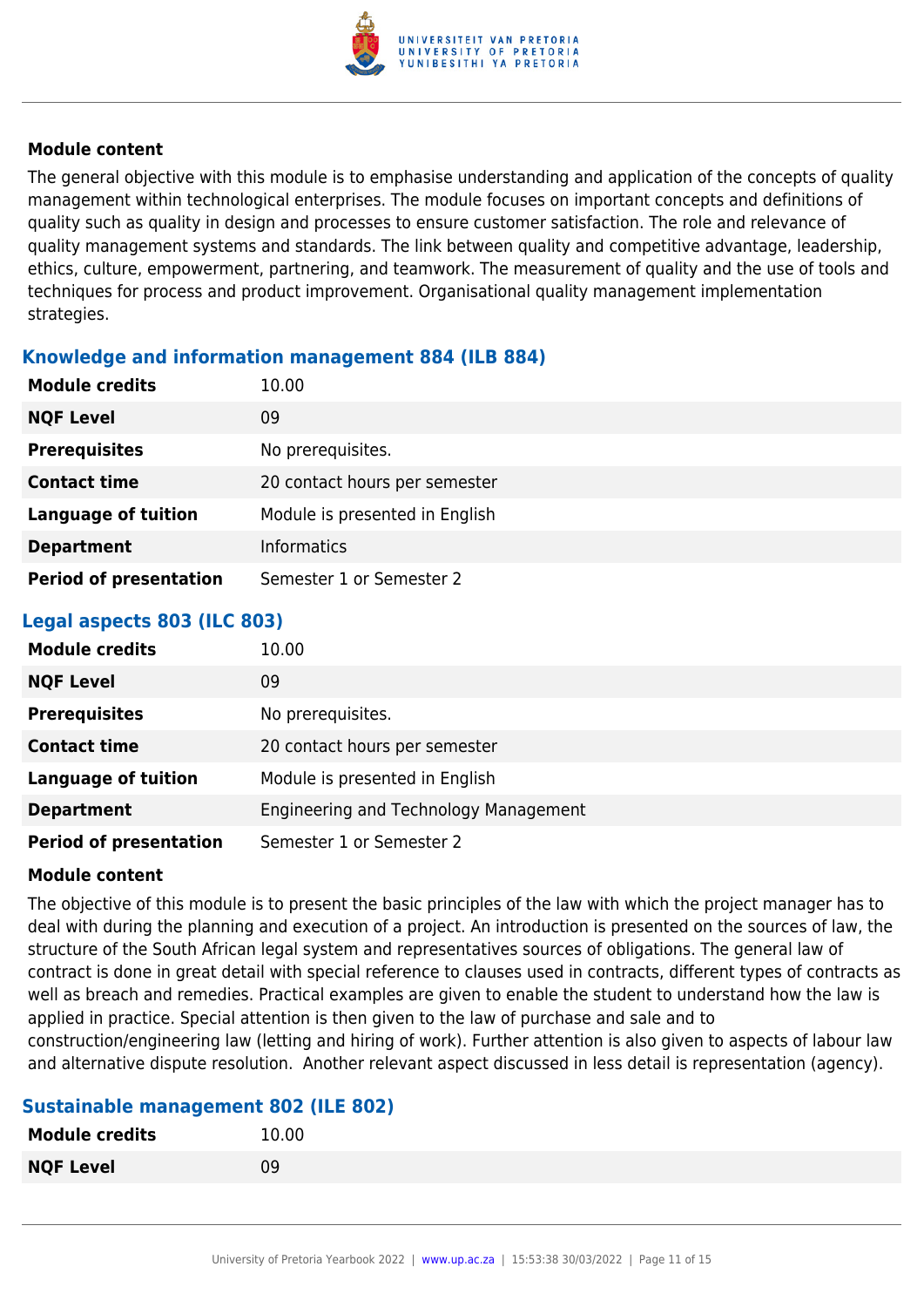

The general objective with this module is to emphasise understanding and application of the concepts of quality management within technological enterprises. The module focuses on important concepts and definitions of quality such as quality in design and processes to ensure customer satisfaction. The role and relevance of quality management systems and standards. The link between quality and competitive advantage, leadership, ethics, culture, empowerment, partnering, and teamwork. The measurement of quality and the use of tools and techniques for process and product improvement. Organisational quality management implementation strategies.

#### **Knowledge and information management 884 (ILB 884)**

| <b>Module credits</b>         | 10.00                          |
|-------------------------------|--------------------------------|
| <b>NQF Level</b>              | 09                             |
| <b>Prerequisites</b>          | No prerequisites.              |
| <b>Contact time</b>           | 20 contact hours per semester  |
| <b>Language of tuition</b>    | Module is presented in English |
| <b>Department</b>             | <b>Informatics</b>             |
| <b>Period of presentation</b> | Semester 1 or Semester 2       |

#### **Legal aspects 803 (ILC 803)**

| <b>Module credits</b>         | 10.00                                 |
|-------------------------------|---------------------------------------|
| <b>NQF Level</b>              | 09                                    |
| <b>Prerequisites</b>          | No prerequisites.                     |
| <b>Contact time</b>           | 20 contact hours per semester         |
| <b>Language of tuition</b>    | Module is presented in English        |
| <b>Department</b>             | Engineering and Technology Management |
| <b>Period of presentation</b> | Semester 1 or Semester 2              |

#### **Module content**

The objective of this module is to present the basic principles of the law with which the project manager has to deal with during the planning and execution of a project. An introduction is presented on the sources of law, the structure of the South African legal system and representatives sources of obligations. The general law of contract is done in great detail with special reference to clauses used in contracts, different types of contracts as well as breach and remedies. Practical examples are given to enable the student to understand how the law is applied in practice. Special attention is then given to the law of purchase and sale and to construction/engineering law (letting and hiring of work). Further attention is also given to aspects of labour law and alternative dispute resolution. Another relevant aspect discussed in less detail is representation (agency).

#### **Sustainable management 802 (ILE 802)**

| <b>Module credits</b> | 10.00 |
|-----------------------|-------|
| <b>NQF Level</b>      | 09    |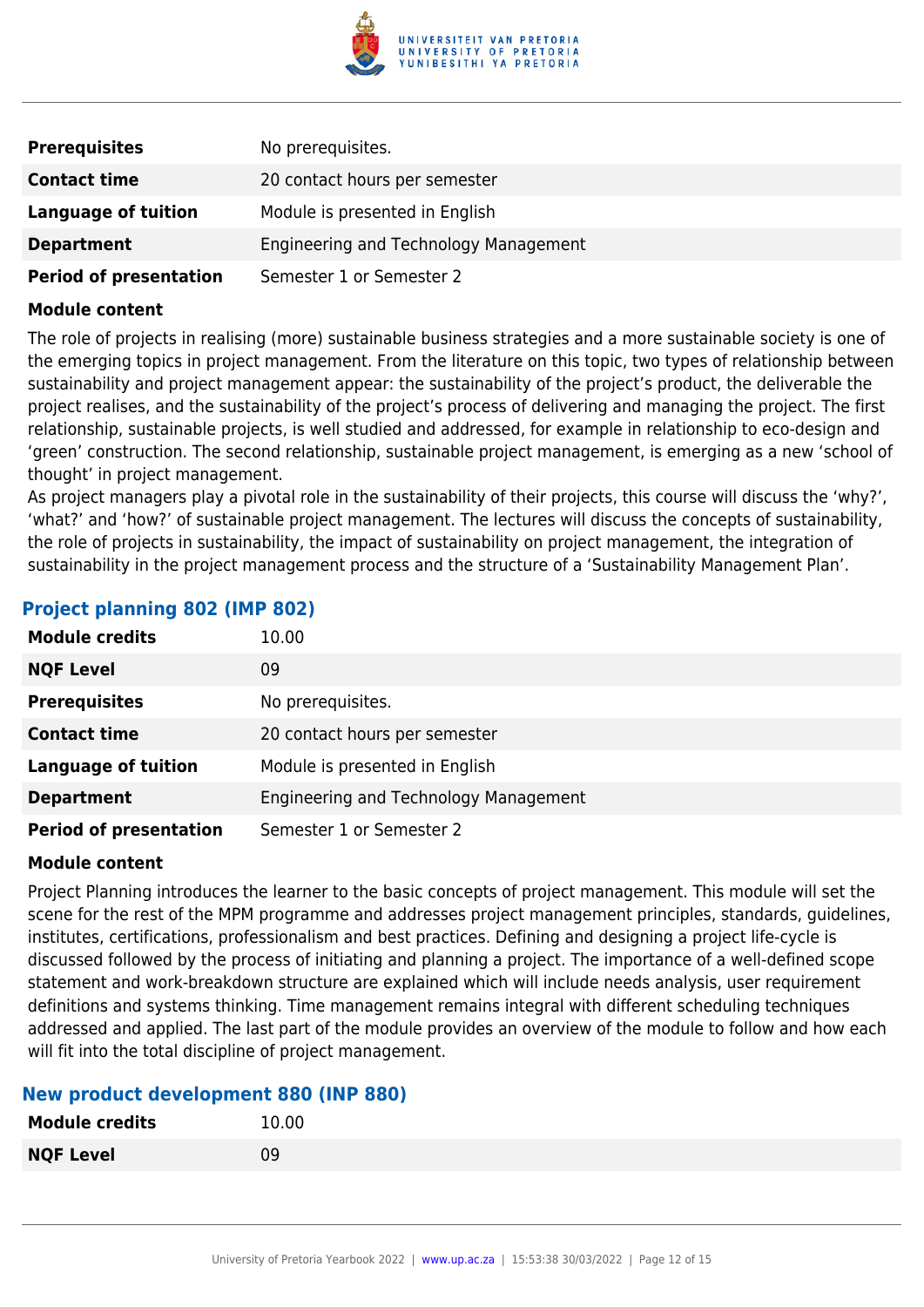

| <b>Prerequisites</b>          | No prerequisites.                     |
|-------------------------------|---------------------------------------|
| <b>Contact time</b>           | 20 contact hours per semester         |
| <b>Language of tuition</b>    | Module is presented in English        |
| <b>Department</b>             | Engineering and Technology Management |
| <b>Period of presentation</b> | Semester 1 or Semester 2              |

The role of projects in realising (more) sustainable business strategies and a more sustainable society is one of the emerging topics in project management. From the literature on this topic, two types of relationship between sustainability and project management appear: the sustainability of the project's product, the deliverable the project realises, and the sustainability of the project's process of delivering and managing the project. The first relationship, sustainable projects, is well studied and addressed, for example in relationship to eco-design and 'green' construction. The second relationship, sustainable project management, is emerging as a new 'school of thought' in project management.

As project managers play a pivotal role in the sustainability of their projects, this course will discuss the 'why?', 'what?' and 'how?' of sustainable project management. The lectures will discuss the concepts of sustainability, the role of projects in sustainability, the impact of sustainability on project management, the integration of sustainability in the project management process and the structure of a 'Sustainability Management Plan'.

| <b>Module credits</b>         | 10.00                                 |
|-------------------------------|---------------------------------------|
| <b>NQF Level</b>              | 09                                    |
| <b>Prerequisites</b>          | No prerequisites.                     |
| <b>Contact time</b>           | 20 contact hours per semester         |
| <b>Language of tuition</b>    | Module is presented in English        |
| <b>Department</b>             | Engineering and Technology Management |
| <b>Period of presentation</b> | Semester 1 or Semester 2              |

#### **Project planning 802 (IMP 802)**

#### **Module content**

Project Planning introduces the learner to the basic concepts of project management. This module will set the scene for the rest of the MPM programme and addresses project management principles, standards, guidelines, institutes, certifications, professionalism and best practices. Defining and designing a project life-cycle is discussed followed by the process of initiating and planning a project. The importance of a well-defined scope statement and work-breakdown structure are explained which will include needs analysis, user requirement definitions and systems thinking. Time management remains integral with different scheduling techniques addressed and applied. The last part of the module provides an overview of the module to follow and how each will fit into the total discipline of project management.

#### **New product development 880 (INP 880)**

| <b>Module credits</b> | 10.00 |
|-----------------------|-------|
| <b>NQF Level</b>      | 09    |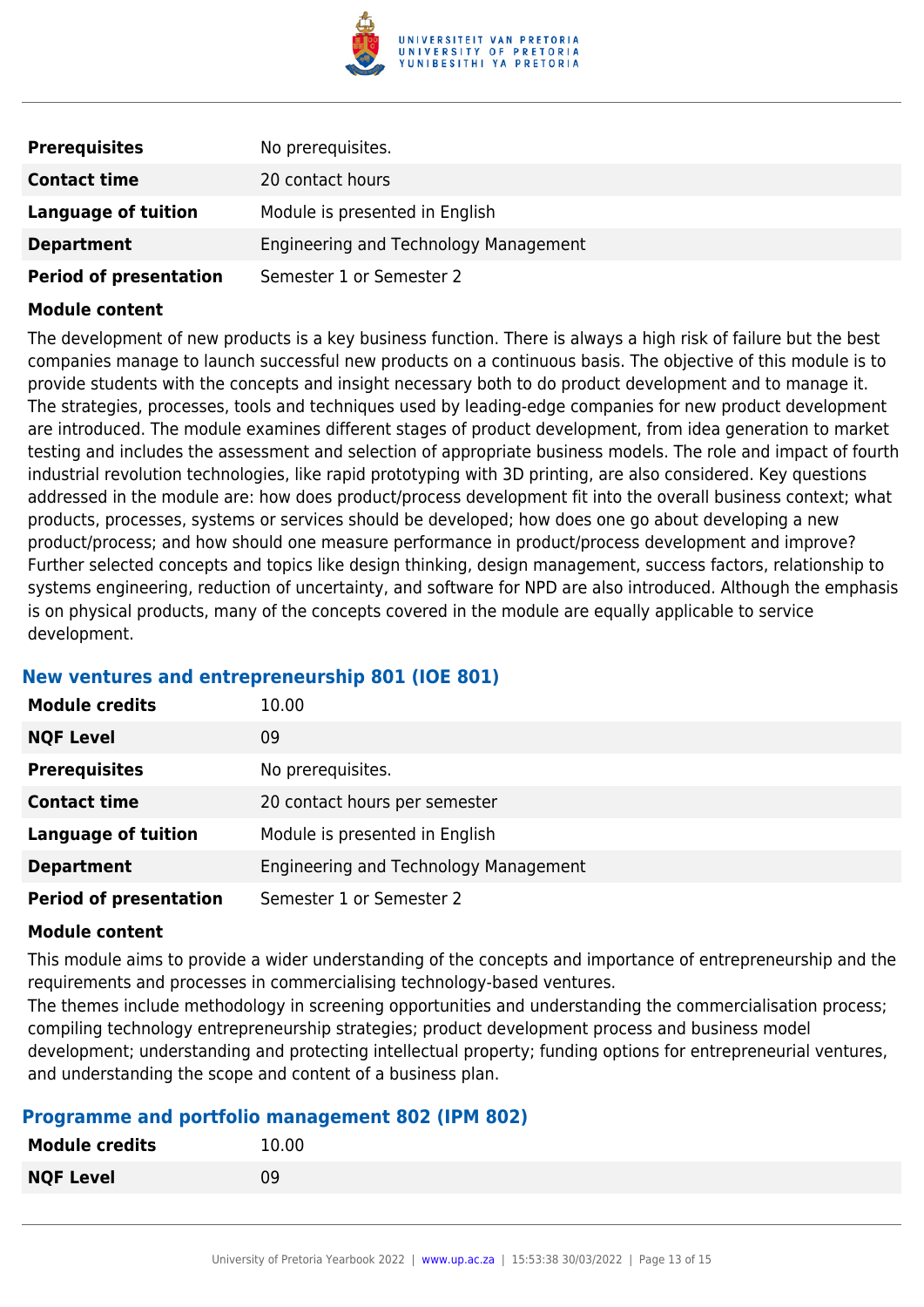

| <b>Prerequisites</b>          | No prerequisites.                            |
|-------------------------------|----------------------------------------------|
| <b>Contact time</b>           | 20 contact hours                             |
| Language of tuition           | Module is presented in English               |
| <b>Department</b>             | <b>Engineering and Technology Management</b> |
| <b>Period of presentation</b> | Semester 1 or Semester 2                     |

The development of new products is a key business function. There is always a high risk of failure but the best companies manage to launch successful new products on a continuous basis. The objective of this module is to provide students with the concepts and insight necessary both to do product development and to manage it. The strategies, processes, tools and techniques used by leading-edge companies for new product development are introduced. The module examines different stages of product development, from idea generation to market testing and includes the assessment and selection of appropriate business models. The role and impact of fourth industrial revolution technologies, like rapid prototyping with 3D printing, are also considered. Key questions addressed in the module are: how does product/process development fit into the overall business context; what products, processes, systems or services should be developed; how does one go about developing a new product/process; and how should one measure performance in product/process development and improve? Further selected concepts and topics like design thinking, design management, success factors, relationship to systems engineering, reduction of uncertainty, and software for NPD are also introduced. Although the emphasis is on physical products, many of the concepts covered in the module are equally applicable to service development.

#### **New ventures and entrepreneurship 801 (IOE 801)**

| <b>Module credits</b>         | 10.00                                 |
|-------------------------------|---------------------------------------|
| <b>NQF Level</b>              | 09                                    |
| <b>Prerequisites</b>          | No prerequisites.                     |
| <b>Contact time</b>           | 20 contact hours per semester         |
| <b>Language of tuition</b>    | Module is presented in English        |
| <b>Department</b>             | Engineering and Technology Management |
| <b>Period of presentation</b> | Semester 1 or Semester 2              |

#### **Module content**

This module aims to provide a wider understanding of the concepts and importance of entrepreneurship and the requirements and processes in commercialising technology-based ventures.

The themes include methodology in screening opportunities and understanding the commercialisation process; compiling technology entrepreneurship strategies; product development process and business model development; understanding and protecting intellectual property; funding options for entrepreneurial ventures, and understanding the scope and content of a business plan.

#### **Programme and portfolio management 802 (IPM 802)**

| <b>Module credits</b> | 10.00 |
|-----------------------|-------|
| <b>NQF Level</b>      | 09    |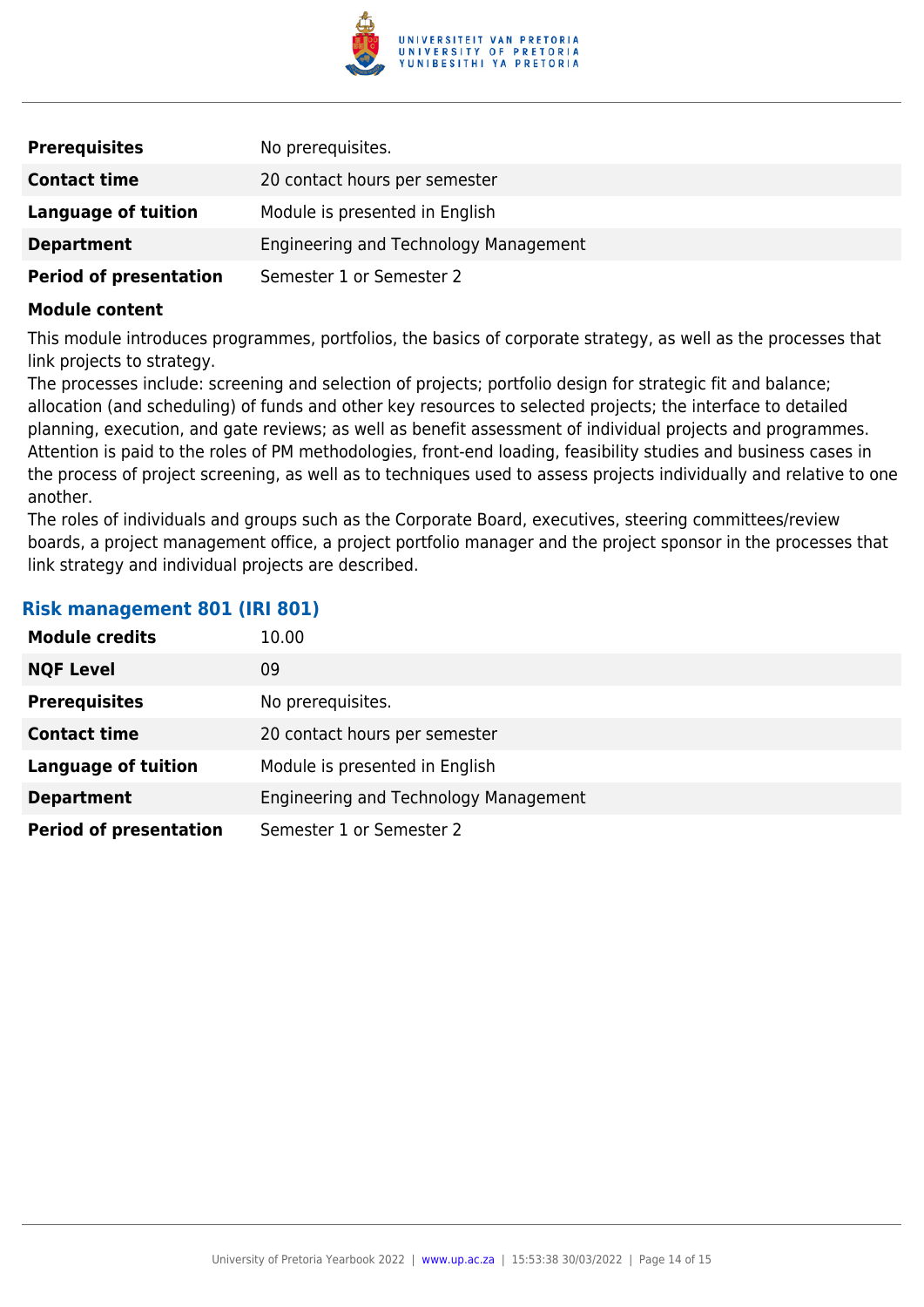

| <b>Prerequisites</b>          | No prerequisites.                            |
|-------------------------------|----------------------------------------------|
| <b>Contact time</b>           | 20 contact hours per semester                |
| <b>Language of tuition</b>    | Module is presented in English               |
| <b>Department</b>             | <b>Engineering and Technology Management</b> |
| <b>Period of presentation</b> | Semester 1 or Semester 2                     |

This module introduces programmes, portfolios, the basics of corporate strategy, as well as the processes that link projects to strategy.

The processes include: screening and selection of projects; portfolio design for strategic fit and balance; allocation (and scheduling) of funds and other key resources to selected projects; the interface to detailed planning, execution, and gate reviews; as well as benefit assessment of individual projects and programmes. Attention is paid to the roles of PM methodologies, front-end loading, feasibility studies and business cases in the process of project screening, as well as to techniques used to assess projects individually and relative to one another.

The roles of individuals and groups such as the Corporate Board, executives, steering committees/review boards, a project management office, a project portfolio manager and the project sponsor in the processes that link strategy and individual projects are described.

#### **Risk management 801 (IRI 801)**

| <b>Module credits</b>         | 10.00                                 |
|-------------------------------|---------------------------------------|
| <b>NQF Level</b>              | 09                                    |
| <b>Prerequisites</b>          | No prerequisites.                     |
| <b>Contact time</b>           | 20 contact hours per semester         |
| <b>Language of tuition</b>    | Module is presented in English        |
| <b>Department</b>             | Engineering and Technology Management |
| <b>Period of presentation</b> | Semester 1 or Semester 2              |